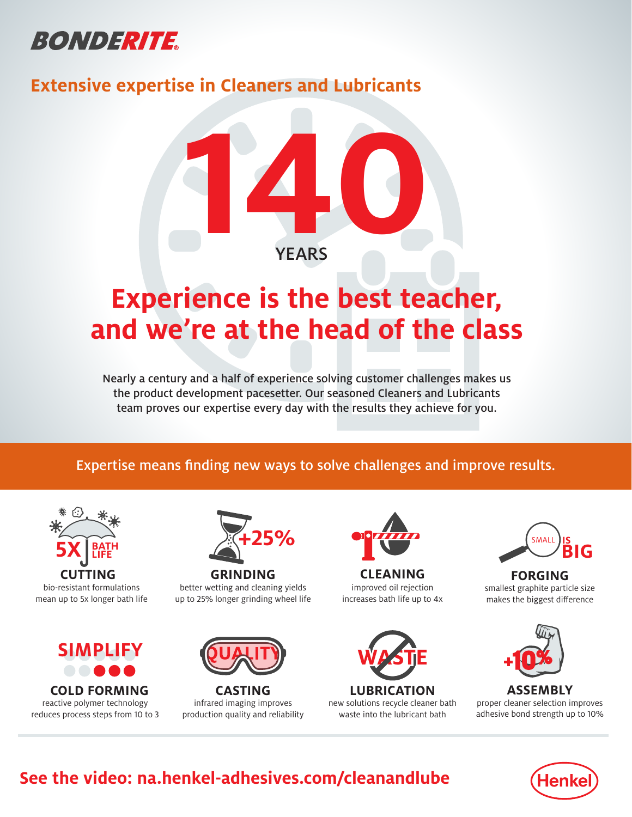

### **Extensive expertise in Cleaners and Lubricants**



# **Experience is the best teacher, and we're at the head of the class**

Nearly a century and a half of experience solving customer challenges makes us the product development pacesetter. Our seasoned Cleaners and Lubricants team proves our expertise every day with the results they achieve for you.

### Expertise means finding new ways to solve challenges and improve results.



mean up to 5x longer bath life



reactive polymer technology reduces process steps from 10 to 3



**GRINDING** better wetting and cleaning yields up to 25% longer grinding wheel life



**CASTING** infrared imaging improves production quality and reliability



improved oil rejection increases bath life up to 4x **CLEANING**



new solutions recycle cleaner bath waste into the lubricant bath



**FORGING** smallest graphite particle size makes the biggest difference



**ASSEMBLY** proper cleaner selection improves adhesive bond strength up to 10%



## **See the video: na.henkel-adhesives.com/cleanandlube**